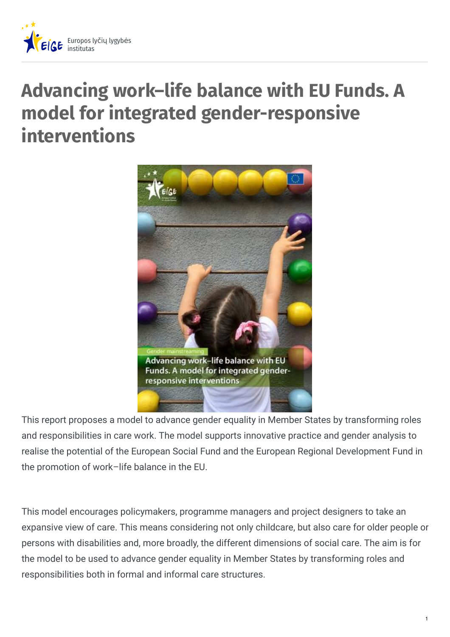

## **Advancing work–life balance with EU Funds. A model for integrated gender-responsive interventions**



This report proposes a model to advance gender equality in Member States by transforming roles and responsibilities in care work. The model supports innovative practice and gender analysis to realise the potential of the European Social Fund and the European Regional Development Fund in the promotion of work–life balance in the EU.

This model encourages policymakers, programme managers and project designers to take an expansive view of care. This means considering not only childcare, but also care for older people or persons with disabilities and, more broadly, the different dimensions of social care. The aim is for the model to be used to advance gender equality in Member States by transforming roles and responsibilities both in formal and informal care structures.